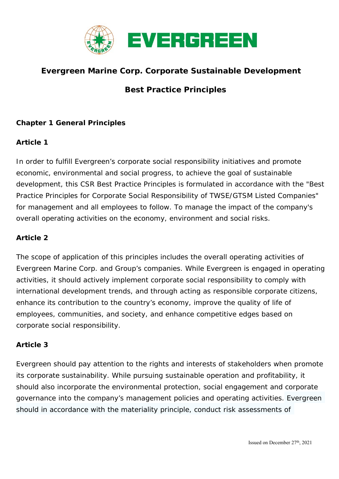

# **Evergreen Marine Corp. Corporate Sustainable Development**

# **Best Practice Principles**

#### **Chapter 1 General Principles**

#### **Article 1**

In order to fulfill Evergreen's corporate social responsibility initiatives and promote economic, environmental and social progress, to achieve the goal of sustainable development, this CSR Best Practice Principles is formulated in accordance with the "Best Practice Principles for Corporate Social Responsibility of TWSE/GTSM Listed Companies" for management and all employees to follow. To manage the impact of the company's overall operating activities on the economy, environment and social risks.

#### **Article 2**

The scope of application of this principles includes the overall operating activities of Evergreen Marine Corp. and Group's companies. While Evergreen is engaged in operating activities, it should actively implement corporate social responsibility to comply with international development trends, and through acting as responsible corporate citizens, enhance its contribution to the country's economy, improve the quality of life of employees, communities, and society, and enhance competitive edges based on corporate social responsibility.

#### **Article 3**

Evergreen should pay attention to the rights and interests of stakeholders when promote its corporate sustainability. While pursuing sustainable operation and profitability, it should also incorporate the environmental protection, social engagement and corporate governance into the company's management policies and operating activities. Evergreen should in accordance with the materiality principle, conduct risk assessments of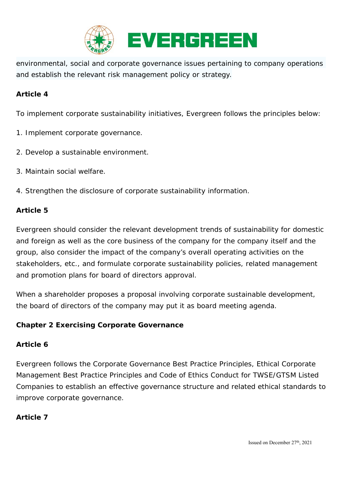

environmental, social and corporate governance issues pertaining to company operations and establish the relevant risk management policy or strategy.

#### **Article 4**

To implement corporate sustainability initiatives, Evergreen follows the principles below:

- 1. Implement corporate governance.
- 2. Develop a sustainable environment.
- 3. Maintain social welfare.
- 4. Strengthen the disclosure of corporate sustainability information.

#### **Article 5**

Evergreen should consider the relevant development trends of sustainability for domestic and foreign as well as the core business of the company for the company itself and the group, also consider the impact of the company's overall operating activities on the stakeholders, etc., and formulate corporate sustainability policies, related management and promotion plans for board of directors approval.

When a shareholder proposes a proposal involving corporate sustainable development, the board of directors of the company may put it as board meeting agenda.

#### **Chapter 2 Exercising Corporate Governance**

#### **Article 6**

Evergreen follows the Corporate Governance Best Practice Principles, Ethical Corporate Management Best Practice Principles and Code of Ethics Conduct for TWSE/GTSM Listed Companies to establish an effective governance structure and related ethical standards to improve corporate governance.

#### **Article 7**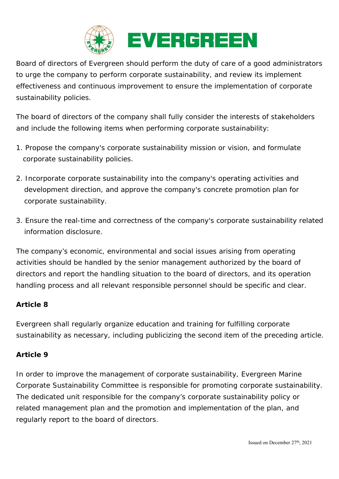

Board of directors of Evergreen should perform the duty of care of a good administrators to urge the company to perform corporate sustainability, and review its implement effectiveness and continuous improvement to ensure the implementation of corporate sustainability policies.

The board of directors of the company shall fully consider the interests of stakeholders and include the following items when performing corporate sustainability:

- 1. Propose the company's corporate sustainability mission or vision, and formulate corporate sustainability policies.
- 2. Incorporate corporate sustainability into the company's operating activities and development direction, and approve the company's concrete promotion plan for corporate sustainability.
- 3. Ensure the real-time and correctness of the company's corporate sustainability related information disclosure.

The company's economic, environmental and social issues arising from operating activities should be handled by the senior management authorized by the board of directors and report the handling situation to the board of directors, and its operation handling process and all relevant responsible personnel should be specific and clear.

### **Article 8**

Evergreen shall regularly organize education and training for fulfilling corporate sustainability as necessary, including publicizing the second item of the preceding article.

#### **Article 9**

In order to improve the management of corporate sustainability, Evergreen Marine Corporate Sustainability Committee is responsible for promoting corporate sustainability. The dedicated unit responsible for the company's corporate sustainability policy or related management plan and the promotion and implementation of the plan, and regularly report to the board of directors.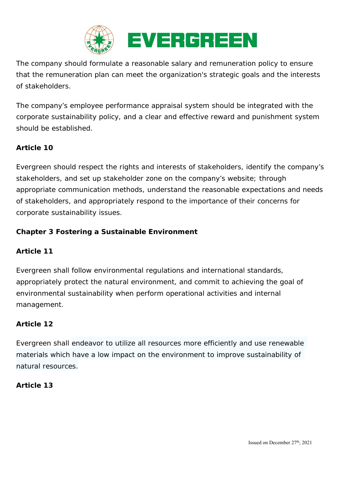

The company should formulate a reasonable salary and remuneration policy to ensure that the remuneration plan can meet the organization's strategic goals and the interests of stakeholders.

The company's employee performance appraisal system should be integrated with the corporate sustainability policy, and a clear and effective reward and punishment system should be established.

# **Article 10**

Evergreen should respect the rights and interests of stakeholders, identify the company's stakeholders, and set up stakeholder zone on the company's website; through appropriate communication methods, understand the reasonable expectations and needs of stakeholders, and appropriately respond to the importance of their concerns for corporate sustainability issues.

# **Chapter 3 Fostering a Sustainable Environment**

### **Article 11**

Evergreen shall follow environmental regulations and international standards, appropriately protect the natural environment, and commit to achieving the goal of environmental sustainability when perform operational activities and internal management.

### **Article 12**

Evergreen shall endeavor to utilize all resources more efficiently and use renewable materials which have a low impact on the environment to improve sustainability of natural resources.

#### **Article 13**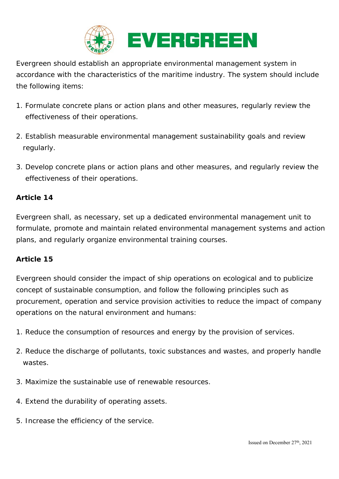

Evergreen should establish an appropriate environmental management system in accordance with the characteristics of the maritime industry. The system should include the following items:

- 1. Formulate concrete plans or action plans and other measures, regularly review the effectiveness of their operations.
- 2. Establish measurable environmental management sustainability goals and review regularly.
- 3. Develop concrete plans or action plans and other measures, and regularly review the effectiveness of their operations.

### **Article 14**

Evergreen shall, as necessary, set up a dedicated environmental management unit to formulate, promote and maintain related environmental management systems and action plans, and regularly organize environmental training courses.

#### **Article 15**

Evergreen should consider the impact of ship operations on ecological and to publicize concept of sustainable consumption, and follow the following principles such as procurement, operation and service provision activities to reduce the impact of company operations on the natural environment and humans:

- 1. Reduce the consumption of resources and energy by the provision of services.
- 2. Reduce the discharge of pollutants, toxic substances and wastes, and properly handle wastes.
- 3. Maximize the sustainable use of renewable resources.
- 4. Extend the durability of operating assets.
- 5. Increase the efficiency of the service.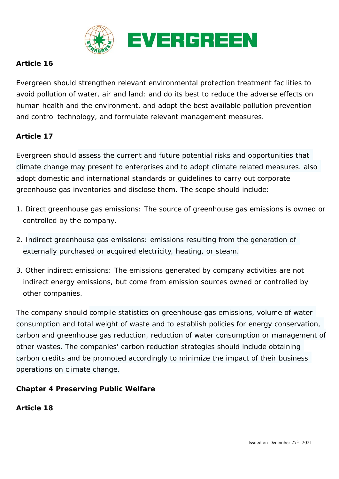

# **Article 16**

Evergreen should strengthen relevant environmental protection treatment facilities to avoid pollution of water, air and land; and do its best to reduce the adverse effects on human health and the environment, and adopt the best available pollution prevention and control technology, and formulate relevant management measures.

### **Article 17**

Evergreen should assess the current and future potential risks and opportunities that climate change may present to enterprises and to adopt climate related measures. also adopt domestic and international standards or guidelines to carry out corporate greenhouse gas inventories and disclose them. The scope should include:

- 1. Direct greenhouse gas emissions: The source of greenhouse gas emissions is owned or controlled by the company.
- 2. Indirect greenhouse gas emissions: emissions resulting from the generation of externally purchased or acquired electricity, heating, or steam.
- 3. Other indirect emissions: The emissions generated by company activities are not indirect energy emissions, but come from emission sources owned or controlled by other companies.

The company should compile statistics on greenhouse gas emissions, volume of water consumption and total weight of waste and to establish policies for energy conservation, carbon and greenhouse gas reduction, reduction of water consumption or management of other wastes. The companies' carbon reduction strategies should include obtaining carbon credits and be promoted accordingly to minimize the impact of their business operations on climate change.

### **Chapter 4 Preserving Public Welfare**

**Article 18**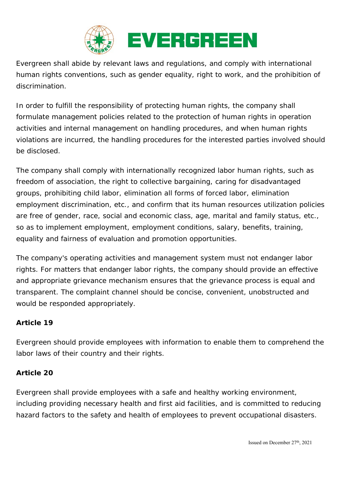

Evergreen shall abide by relevant laws and regulations, and comply with international human rights conventions, such as gender equality, right to work, and the prohibition of discrimination.

In order to fulfill the responsibility of protecting human rights, the company shall formulate management policies related to the protection of human rights in operation activities and internal management on handling procedures, and when human rights violations are incurred, the handling procedures for the interested parties involved should be disclosed.

The company shall comply with internationally recognized labor human rights, such as freedom of association, the right to collective bargaining, caring for disadvantaged groups, prohibiting child labor, elimination all forms of forced labor, elimination employment discrimination, etc., and confirm that its human resources utilization policies are free of gender, race, social and economic class, age, marital and family status, etc., so as to implement employment, employment conditions, salary, benefits, training, equality and fairness of evaluation and promotion opportunities.

The company's operating activities and management system must not endanger labor rights. For matters that endanger labor rights, the company should provide an effective and appropriate grievance mechanism ensures that the grievance process is equal and transparent. The complaint channel should be concise, convenient, unobstructed and would be responded appropriately.

### **Article 19**

Evergreen should provide employees with information to enable them to comprehend the labor laws of their country and their rights.

### **Article 20**

Evergreen shall provide employees with a safe and healthy working environment, including providing necessary health and first aid facilities, and is committed to reducing hazard factors to the safety and health of employees to prevent occupational disasters.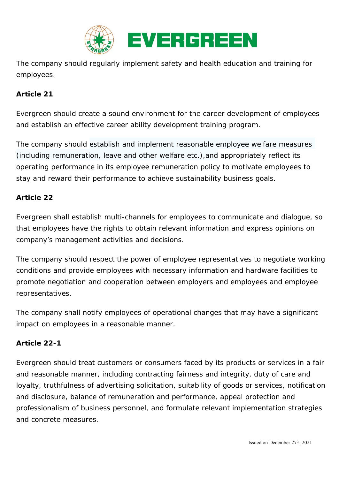

The company should regularly implement safety and health education and training for employees.

### **Article 21**

Evergreen should create a sound environment for the career development of employees and establish an effective career ability development training program.

The company should establish and implement reasonable employee welfare measures (including remuneration, leave and other welfare etc.),and appropriately reflect its operating performance in its employee remuneration policy to motivate employees to stay and reward their performance to achieve sustainability business goals.

#### **Article 22**

Evergreen shall establish multi-channels for employees to communicate and dialogue, so that employees have the rights to obtain relevant information and express opinions on company's management activities and decisions.

The company should respect the power of employee representatives to negotiate working conditions and provide employees with necessary information and hardware facilities to promote negotiation and cooperation between employers and employees and employee representatives.

The company shall notify employees of operational changes that may have a significant impact on employees in a reasonable manner.

#### **Article 22-1**

Evergreen should treat customers or consumers faced by its products or services in a fair and reasonable manner, including contracting fairness and integrity, duty of care and loyalty, truthfulness of advertising solicitation, suitability of goods or services, notification and disclosure, balance of remuneration and performance, appeal protection and professionalism of business personnel, and formulate relevant implementation strategies and concrete measures.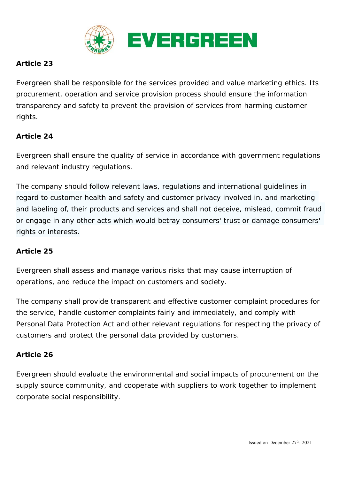

# **Article 23**

Evergreen shall be responsible for the services provided and value marketing ethics. Its procurement, operation and service provision process should ensure the information transparency and safety to prevent the provision of services from harming customer rights.

# **Article 24**

Evergreen shall ensure the quality of service in accordance with government regulations and relevant industry regulations.

The company should follow relevant laws, regulations and international guidelines in regard to customer health and safety and customer privacy involved in, and marketing and labeling of, their products and services and shall not deceive, mislead, commit fraud or engage in any other acts which would betray consumers' trust or damage consumers' rights or interests.

### **Article 25**

Evergreen shall assess and manage various risks that may cause interruption of operations, and reduce the impact on customers and society.

The company shall provide transparent and effective customer complaint procedures for the service, handle customer complaints fairly and immediately, and comply with Personal Data Protection Act and other relevant regulations for respecting the privacy of customers and protect the personal data provided by customers.

### **Article 26**

Evergreen should evaluate the environmental and social impacts of procurement on the supply source community, and cooperate with suppliers to work together to implement corporate social responsibility.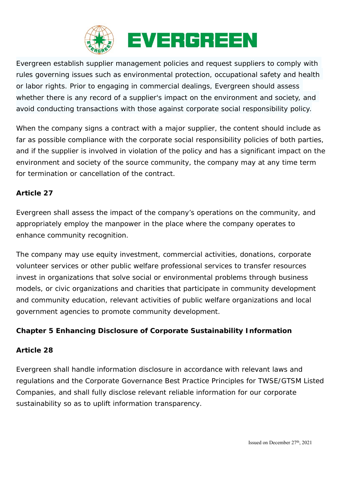

Evergreen establish supplier management policies and request suppliers to comply with rules governing issues such as environmental protection, occupational safety and health or labor rights. Prior to engaging in commercial dealings, Evergreen should assess whether there is any record of a supplier's impact on the environment and society, and avoid conducting transactions with those against corporate social responsibility policy.

When the company signs a contract with a major supplier, the content should include as far as possible compliance with the corporate social responsibility policies of both parties, and if the supplier is involved in violation of the policy and has a significant impact on the environment and society of the source community, the company may at any time term for termination or cancellation of the contract.

# **Article 27**

Evergreen shall assess the impact of the company's operations on the community, and appropriately employ the manpower in the place where the company operates to enhance community recognition.

The company may use equity investment, commercial activities, donations, corporate volunteer services or other public welfare professional services to transfer resources invest in organizations that solve social or environmental problems through business models, or civic organizations and charities that participate in community development and community education, relevant activities of public welfare organizations and local government agencies to promote community development.

### **Chapter 5 Enhancing Disclosure of Corporate Sustainability Information**

### **Article 28**

Evergreen shall handle information disclosure in accordance with relevant laws and regulations and the Corporate Governance Best Practice Principles for TWSE/GTSM Listed Companies, and shall fully disclose relevant reliable information for our corporate sustainability so as to uplift information transparency.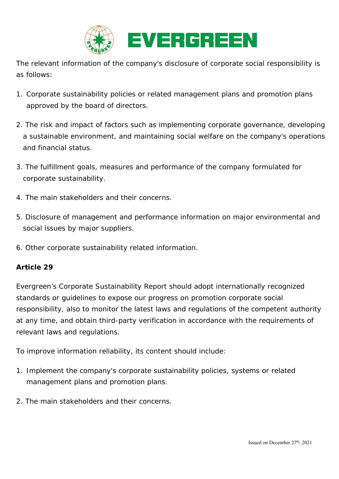

The relevant information of the company's disclosure of corporate social responsibility is as follows:

- 1. Corporate sustainability policies or related management plans and promotion plans approved by the board of directors.
- 2. The risk and impact of factors such as implementing corporate governance, developing a sustainable environment, and maintaining social welfare on the company's operations and financial status.
- 3. The fulfillment goals, measures and performance of the company formulated for corporate sustainability.
- 4. The main stakeholders and their concerns.
- 5. Disclosure of management and performance information on major environmental and social issues by major suppliers.
- 6. Other corporate sustainability related information.

#### **Article 29**

Evergreen's Corporate Sustainability Report should adopt internationally recognized standards or guidelines to expose our progress on promotion corporate social responsibility, also to monitor the latest laws and regulations of the competent authority at any time, and obtain third-party verification in accordance with the requirements of relevant laws and regulations.

To improve information reliability, its content should include:

- 1. Implement the company's corporate sustainability policies, systems or related management plans and promotion plans.
- 2. The main stakeholders and their concerns.